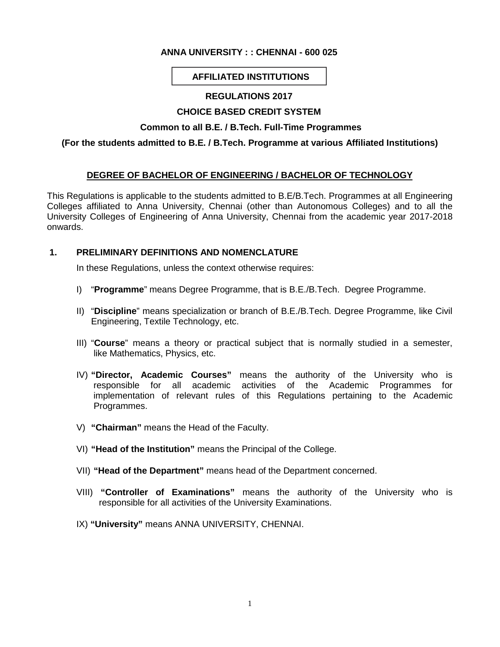# **ANNA UNIVERSITY : : CHENNAI - 600 025**

# **AFFILIATED INSTITUTIONS**

### **REGULATIONS 2017**

# **CHOICE BASED CREDIT SYSTEM**

### **Common to all B.E. / B.Tech. Full-Time Programmes**

### **(For the students admitted to B.E. / B.Tech. Programme at various Affiliated Institutions)**

# **DEGREE OF BACHELOR OF ENGINEERING / BACHELOR OF TECHNOLOGY**

This Regulations is applicable to the students admitted to B.E/B.Tech. Programmes at all Engineering Colleges affiliated to Anna University, Chennai (other than Autonomous Colleges) and to all the University Colleges of Engineering of Anna University, Chennai from the academic year 2017-2018 onwards.

### **1. PRELIMINARY DEFINITIONS AND NOMENCLATURE**

In these Regulations, unless the context otherwise requires:

- I) "**Programme**" means Degree Programme, that is B.E./B.Tech. Degree Programme.
- II) "**Discipline**" means specialization or branch of B.E./B.Tech. Degree Programme, like Civil Engineering, Textile Technology, etc.
- III) "**Course**" means a theory or practical subject that is normally studied in a semester, like Mathematics, Physics, etc.
- IV) **"Director, Academic Courses"** means the authority of the University who is responsible for all academic activities of the Academic Programmes for implementation of relevant rules of this Regulations pertaining to the Academic Programmes.
- V) **"Chairman"** means the Head of the Faculty.
- VI) **"Head of the Institution"** means the Principal of the College.
- VII) **"Head of the Department"** means head of the Department concerned.
- VIII) **"Controller of Examinations"** means the authority of the University who is responsible for all activities of the University Examinations.
- IX) **"University"** means ANNA UNIVERSITY, CHENNAI.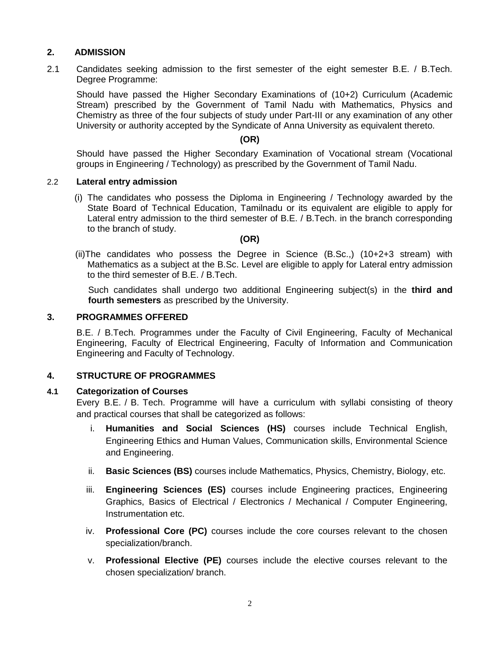# **2. ADMISSION**

2.1 Candidates seeking admission to the first semester of the eight semester B.E. / B.Tech. Degree Programme:

Should have passed the Higher Secondary Examinations of (10+2) Curriculum (Academic Stream) prescribed by the Government of Tamil Nadu with Mathematics, Physics and Chemistry as three of the four subjects of study under Part-III or any examination of any other University or authority accepted by the Syndicate of Anna University as equivalent thereto.

# **(OR)**

Should have passed the Higher Secondary Examination of Vocational stream (Vocational groups in Engineering / Technology) as prescribed by the Government of Tamil Nadu.

### 2.2 **Lateral entry admission**

(i) The candidates who possess the Diploma in Engineering / Technology awarded by the State Board of Technical Education, Tamilnadu or its equivalent are eligible to apply for Lateral entry admission to the third semester of B.E. / B.Tech. in the branch corresponding to the branch of study.

### **(OR)**

(ii)The candidates who possess the Degree in Science (B.Sc.,) (10+2+3 stream) with Mathematics as a subject at the B.Sc. Level are eligible to apply for Lateral entry admission to the third semester of B.E. / B.Tech.

Such candidates shall undergo two additional Engineering subject(s) in the **third and fourth semesters** as prescribed by the University.

### **3. PROGRAMMES OFFERED**

B.E. / B.Tech. Programmes under the Faculty of Civil Engineering, Faculty of Mechanical Engineering, Faculty of Electrical Engineering, Faculty of Information and Communication Engineering and Faculty of Technology.

# **4. STRUCTURE OF PROGRAMMES**

#### **4.1 Categorization of Courses**

Every B.E. / B. Tech. Programme will have a curriculum with syllabi consisting of theory and practical courses that shall be categorized as follows:

- i. **Humanities and Social Sciences (HS)** courses include Technical English, Engineering Ethics and Human Values, Communication skills, Environmental Science and Engineering.
- ii. **Basic Sciences (BS)** courses include Mathematics, Physics, Chemistry, Biology, etc.
- iii. **Engineering Sciences (ES)** courses include Engineering practices, Engineering Graphics, Basics of Electrical / Electronics / Mechanical / Computer Engineering, Instrumentation etc.
- iv. **Professional Core (PC)** courses include the core courses relevant to the chosen specialization/branch.
- v. **Professional Elective (PE)** courses include the elective courses relevant to the chosen specialization/ branch.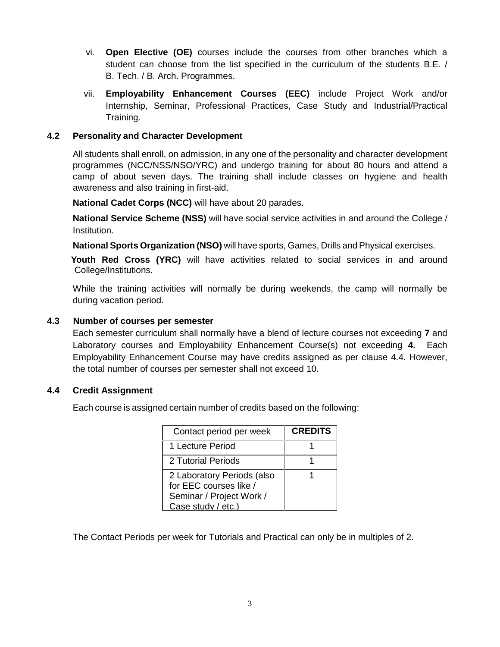- vi. **Open Elective (OE)** courses include the courses from other branches which a student can choose from the list specified in the curriculum of the students B.E. / B. Tech. / B. Arch. Programmes.
- vii. **Employability Enhancement Courses (EEC)** include Project Work and/or Internship, Seminar, Professional Practices, Case Study and Industrial/Practical Training.

# **4.2 Personality and Character Development**

All students shall enroll, on admission, in any one of the personality and character development programmes (NCC/NSS/NSO/YRC) and undergo training for about 80 hours and attend a camp of about seven days. The training shall include classes on hygiene and health awareness and also training in first-aid.

**National Cadet Corps (NCC)** will have about 20 parades.

**National Service Scheme (NSS)** will have social service activities in and around the College / Institution.

**National Sports Organization (NSO)** will have sports, Games, Drills and Physical exercises.

**Youth Red Cross (YRC)** will have activities related to social services in and around College/Institutions.

While the training activities will normally be during weekends, the camp will normally be during vacation period.

### **4.3 Number of courses per semester**

Each semester curriculum shall normally have a blend of lecture courses not exceeding **7** and Laboratory courses and Employability Enhancement Course(s) not exceeding **4.** Each Employability Enhancement Course may have credits assigned as per clause 4.4. However, the total number of courses per semester shall not exceed 10.

#### **4.4 Credit Assignment**

Each course is assigned certain number of credits based on the following:

| Contact period per week                                                                                | <b>CREDITS</b> |
|--------------------------------------------------------------------------------------------------------|----------------|
| 1 Lecture Period                                                                                       |                |
| 2 Tutorial Periods                                                                                     |                |
| 2 Laboratory Periods (also<br>for EEC courses like /<br>Seminar / Project Work /<br>Case study / etc.) |                |

The Contact Periods per week for Tutorials and Practical can only be in multiples of 2.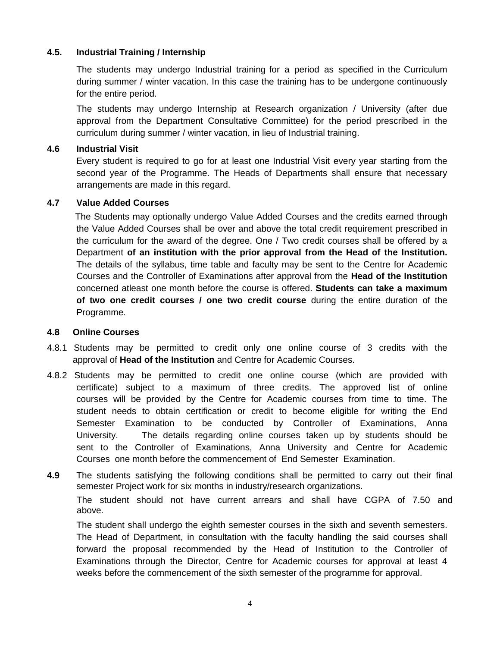# **4.5. Industrial Training / Internship**

The students may undergo Industrial training for a period as specified in the Curriculum during summer / winter vacation. In this case the training has to be undergone continuously for the entire period.

The students may undergo Internship at Research organization / University (after due approval from the Department Consultative Committee) for the period prescribed in the curriculum during summer / winter vacation, in lieu of Industrial training.

# **4.6 Industrial Visit**

Every student is required to go for at least one Industrial Visit every year starting from the second year of the Programme. The Heads of Departments shall ensure that necessary arrangements are made in this regard.

# **4.7 Value Added Courses**

The Students may optionally undergo Value Added Courses and the credits earned through the Value Added Courses shall be over and above the total credit requirement prescribed in the curriculum for the award of the degree. One / Two credit courses shall be offered by a Department **of an institution with the prior approval from the Head of the Institution.** The details of the syllabus, time table and faculty may be sent to the Centre for Academic Courses and the Controller of Examinations after approval from the **Head of the Institution** concerned atleast one month before the course is offered. **Students can take a maximum of two one credit courses / one two credit course** during the entire duration of the Programme.

# **4.8 Online Courses**

- 4.8.1 Students may be permitted to credit only one online course of 3 credits with the approval of **Head of the Institution** and Centre for Academic Courses.
- 4.8.2 Students may be permitted to credit one online course (which are provided with certificate) subject to a maximum of three credits. The approved list of online courses will be provided by the Centre for Academic courses from time to time. The student needs to obtain certification or credit to become eligible for writing the End Semester Examination to be conducted by Controller of Examinations, Anna University. The details regarding online courses taken up by students should be sent to the Controller of Examinations, Anna University and Centre for Academic Courses one month before the commencement of End Semester Examination.
- **4.9** The students satisfying the following conditions shall be permitted to carry out their final semester Project work for six months in industry/research organizations.

The student should not have current arrears and shall have CGPA of 7.50 and above.

The student shall undergo the eighth semester courses in the sixth and seventh semesters. The Head of Department, in consultation with the faculty handling the said courses shall forward the proposal recommended by the Head of Institution to the Controller of Examinations through the Director, Centre for Academic courses for approval at least 4 weeks before the commencement of the sixth semester of the programme for approval.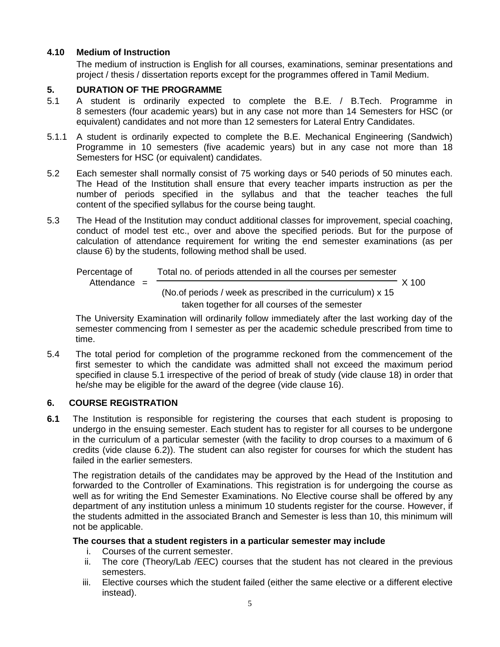# **4.10 Medium of Instruction**

The medium of instruction is English for all courses, examinations, seminar presentations and project / thesis / dissertation reports except for the programmes offered in Tamil Medium.

# **5. DURATION OF THE PROGRAMME**

- 5.1 A student is ordinarily expected to complete the B.E. / B.Tech. Programme in 8 semesters (four academic years) but in any case not more than 14 Semesters for HSC (or equivalent) candidates and not more than 12 semesters for Lateral Entry Candidates.
- 5.1.1 A student is ordinarily expected to complete the B.E. Mechanical Engineering (Sandwich) Programme in 10 semesters (five academic years) but in any case not more than 18 Semesters for HSC (or equivalent) candidates.
- 5.2 Each semester shall normally consist of 75 working days or 540 periods of 50 minutes each. The Head of the Institution shall ensure that every teacher imparts instruction as per the number of periods specified in the syllabus and that the teacher teaches the full content of the specified syllabus for the course being taught.
- 5.3 The Head of the Institution may conduct additional classes for improvement, special coaching, conduct of model test etc., over and above the specified periods. But for the purpose of calculation of attendance requirement for writing the end semester examinations (as per clause 6) by the students, following method shall be used.

Percentage of  
\nAtendance = 
$$
\frac{\text{Total no. of periods attended in all the courses per semester}}{\text{(No. of periods / week as prescribed in the curriculum)} \times 15}
$$

\ntaken together for all courses of the semester

The University Examination will ordinarily follow immediately after the last working day of the semester commencing from I semester as per the academic schedule prescribed from time to time.

5.4 The total period for completion of the programme reckoned from the commencement of the first semester to which the candidate was admitted shall not exceed the maximum period specified in clause 5.1 irrespective of the period of break of study (vide clause 18) in order that he/she may be eligible for the award of the degree (vide clause 16).

# **6. COURSE REGISTRATION**

**6.1** The Institution is responsible for registering the courses that each student is proposing to undergo in the ensuing semester. Each student has to register for all courses to be undergone in the curriculum of a particular semester (with the facility to drop courses to a maximum of 6 credits (vide clause 6.2)). The student can also register for courses for which the student has failed in the earlier semesters.

The registration details of the candidates may be approved by the Head of the Institution and forwarded to the Controller of Examinations. This registration is for undergoing the course as well as for writing the End Semester Examinations. No Elective course shall be offered by any department of any institution unless a minimum 10 students register for the course. However, if the students admitted in the associated Branch and Semester is less than 10, this minimum will not be applicable.

# **The courses that a student registers in a particular semester may include**

- i. Courses of the current semester.
- ii. The core (Theory/Lab /EEC) courses that the student has not cleared in the previous semesters.
- iii. Elective courses which the student failed (either the same elective or a different elective instead).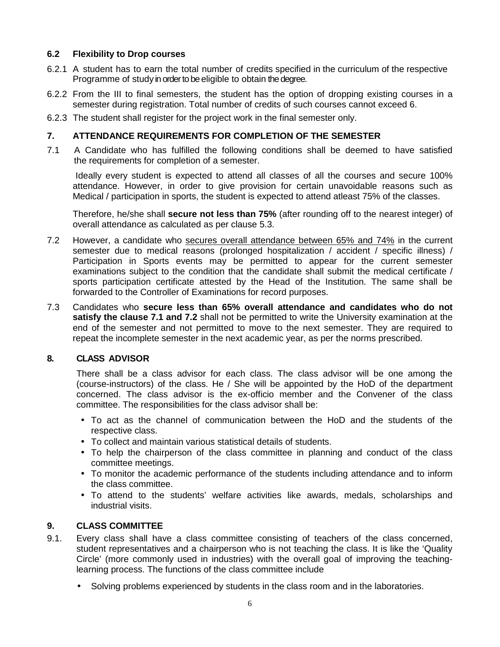# **6.2 Flexibility to Drop courses**

- 6.2.1 A student has to earn the total number of credits specified in the curriculum of the respective Programme of study in order to be eligible to obtain the degree.
- 6.2.2 From the III to final semesters, the student has the option of dropping existing courses in a semester during registration. Total number of credits of such courses cannot exceed 6.
- 6.2.3 The student shall register for the project work in the final semester only.

# **7. ATTENDANCE REQUIREMENTS FOR COMPLETION OF THE SEMESTER**

7.1 A Candidate who has fulfilled the following conditions shall be deemed to have satisfied the requirements for completion of a semester.

Ideally every student is expected to attend all classes of all the courses and secure 100% attendance. However, in order to give provision for certain unavoidable reasons such as Medical / participation in sports, the student is expected to attend atleast 75% of the classes.

Therefore, he/she shall **secure not less than 75%** (after rounding off to the nearest integer) of overall attendance as calculated as per clause 5.3.

- 7.2 However, a candidate who secures overall attendance between 65% and 74% in the current semester due to medical reasons (prolonged hospitalization / accident / specific illness) / Participation in Sports events may be permitted to appear for the current semester examinations subject to the condition that the candidate shall submit the medical certificate / sports participation certificate attested by the Head of the Institution. The same shall be forwarded to the Controller of Examinations for record purposes.
- 7.3 Candidates who **secure less than 65% overall attendance and candidates who do not satisfy the clause 7.1 and 7.2** shall not be permitted to write the University examination at the end of the semester and not permitted to move to the next semester. They are required to repeat the incomplete semester in the next academic year, as per the norms prescribed.

# **8. CLASS ADVISOR**

There shall be a class advisor for each class. The class advisor will be one among the (course-instructors) of the class. He / She will be appointed by the HoD of the department concerned. The class advisor is the ex-officio member and the Convener of the class committee. The responsibilities for the class advisor shall be:

- To act as the channel of communication between the HoD and the students of the respective class.
- To collect and maintain various statistical details of students.
- To help the chairperson of the class committee in planning and conduct of the class committee meetings.
- To monitor the academic performance of the students including attendance and to inform the class committee.
- To attend to the students' welfare activities like awards, medals, scholarships and industrial visits.

# **9. CLASS COMMITTEE**

- 9.1. Every class shall have a class committee consisting of teachers of the class concerned, student representatives and a chairperson who is not teaching the class. It is like the 'Quality Circle' (more commonly used in industries) with the overall goal of improving the teachinglearning process. The functions of the class committee include
	- Solving problems experienced by students in the class room and in the laboratories.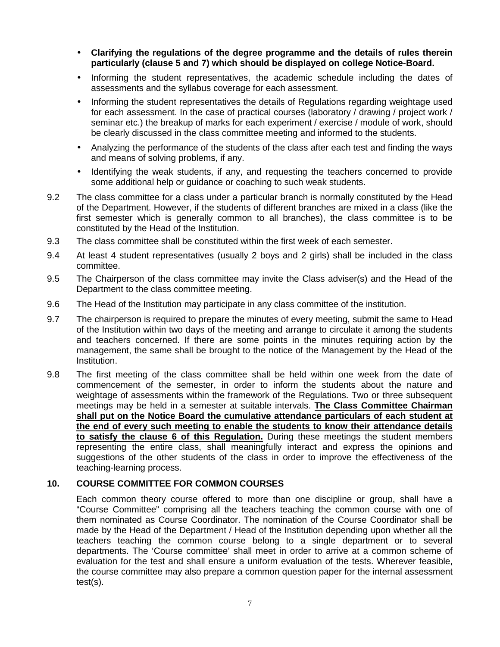- **Clarifying the regulations of the degree programme and the details of rules therein particularly (clause 5 and 7) which should be displayed on college Notice-Board.**
- Informing the student representatives, the academic schedule including the dates of assessments and the syllabus coverage for each assessment.
- Informing the student representatives the details of Regulations regarding weightage used for each assessment. In the case of practical courses (laboratory / drawing / project work / seminar etc.) the breakup of marks for each experiment / exercise / module of work, should be clearly discussed in the class committee meeting and informed to the students.
- Analyzing the performance of the students of the class after each test and finding the ways and means of solving problems, if any.
- Identifying the weak students, if any, and requesting the teachers concerned to provide some additional help or guidance or coaching to such weak students.
- 9.2 The class committee for a class under a particular branch is normally constituted by the Head of the Department. However, if the students of different branches are mixed in a class (like the first semester which is generally common to all branches), the class committee is to be constituted by the Head of the Institution.
- 9.3 The class committee shall be constituted within the first week of each semester.
- 9.4 At least 4 student representatives (usually 2 boys and 2 girls) shall be included in the class committee.
- 9.5 The Chairperson of the class committee may invite the Class adviser(s) and the Head of the Department to the class committee meeting.
- 9.6 The Head of the Institution may participate in any class committee of the institution.
- 9.7 The chairperson is required to prepare the minutes of every meeting, submit the same to Head of the Institution within two days of the meeting and arrange to circulate it among the students and teachers concerned. If there are some points in the minutes requiring action by the management, the same shall be brought to the notice of the Management by the Head of the Institution.
- 9.8 The first meeting of the class committee shall be held within one week from the date of commencement of the semester, in order to inform the students about the nature and weightage of assessments within the framework of the Regulations. Two or three subsequent meetings may be held in a semester at suitable intervals. **The Class Committee Chairman shall put on the Notice Board the cumulative attendance particulars of each student at the end of every such meeting to enable the students to know their attendance details to satisfy the clause 6 of this Regulation.** During these meetings the student members representing the entire class, shall meaningfully interact and express the opinions and suggestions of the other students of the class in order to improve the effectiveness of the teaching-learning process.

# **10. COURSE COMMITTEE FOR COMMON COURSES**

Each common theory course offered to more than one discipline or group, shall have a "Course Committee" comprising all the teachers teaching the common course with one of them nominated as Course Coordinator. The nomination of the Course Coordinator shall be made by the Head of the Department / Head of the Institution depending upon whether all the teachers teaching the common course belong to a single department or to several departments. The 'Course committee' shall meet in order to arrive at a common scheme of evaluation for the test and shall ensure a uniform evaluation of the tests. Wherever feasible, the course committee may also prepare a common question paper for the internal assessment test(s).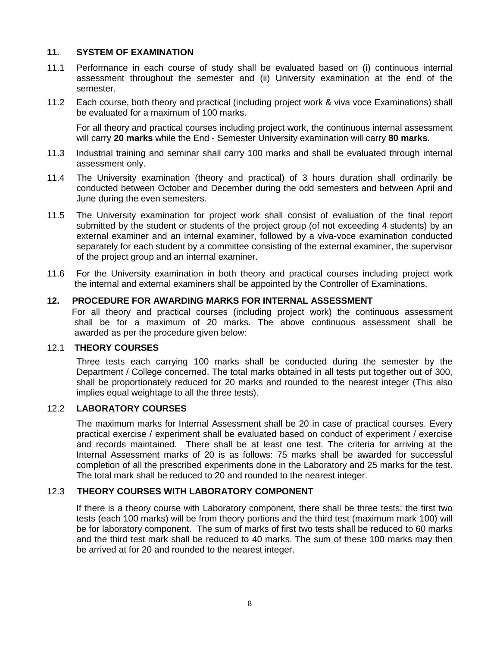### **11. SYSTEM OF EXAMINATION**

- 11.1 Performance in each course of study shall be evaluated based on (i) continuous internal assessment throughout the semester and (ii) University examination at the end of the semester.
- 11.2 Each course, both theory and practical (including project work & viva voce Examinations) shall be evaluated for a maximum of 100 marks.

For all theory and practical courses including project work, the continuous internal assessment will carry **20 marks** while the End - Semester University examination will carry **80 marks.**

- 11.3 Industrial training and seminar shall carry 100 marks and shall be evaluated through internal assessment only.
- 11.4 The University examination (theory and practical) of 3 hours duration shall ordinarily be conducted between October and December during the odd semesters and between April and June during the even semesters.
- 11.5 The University examination for project work shall consist of evaluation of the final report submitted by the student or students of the project group (of not exceeding 4 students) by an external examiner and an internal examiner, followed by a viva-voce examination conducted separately for each student by a committee consisting of the external examiner, the supervisor of the project group and an internal examiner.
- 11.6 For the University examination in both theory and practical courses including project work the internal and external examiners shall be appointed by the Controller of Examinations.

### **12. PROCEDURE FOR AWARDING MARKS FOR INTERNAL ASSESSMENT**

For all theory and practical courses (including project work) the continuous assessment shall be for a maximum of 20 marks. The above continuous assessment shall be awarded as per the procedure given below:

#### 12.1 **THEORY COURSES**

Three tests each carrying 100 marks shall be conducted during the semester by the Department / College concerned. The total marks obtained in all tests put together out of 300, shall be proportionately reduced for 20 marks and rounded to the nearest integer (This also implies equal weightage to all the three tests).

# 12.2 **LABORATORY COURSES**

The maximum marks for Internal Assessment shall be 20 in case of practical courses. Every practical exercise / experiment shall be evaluated based on conduct of experiment / exercise and records maintained. There shall be at least one test. The criteria for arriving at the Internal Assessment marks of 20 is as follows: 75 marks shall be awarded for successful completion of all the prescribed experiments done in the Laboratory and 25 marks for the test. The total mark shall be reduced to 20 and rounded to the nearest integer.

### 12.3 **THEORY COURSES WITH LABORATORY COMPONENT**

If there is a theory course with Laboratory component, there shall be three tests: the first two tests (each 100 marks) will be from theory portions and the third test (maximum mark 100) will be for laboratory component. The sum of marks of first two tests shall be reduced to 60 marks and the third test mark shall be reduced to 40 marks. The sum of these 100 marks may then be arrived at for 20 and rounded to the nearest integer.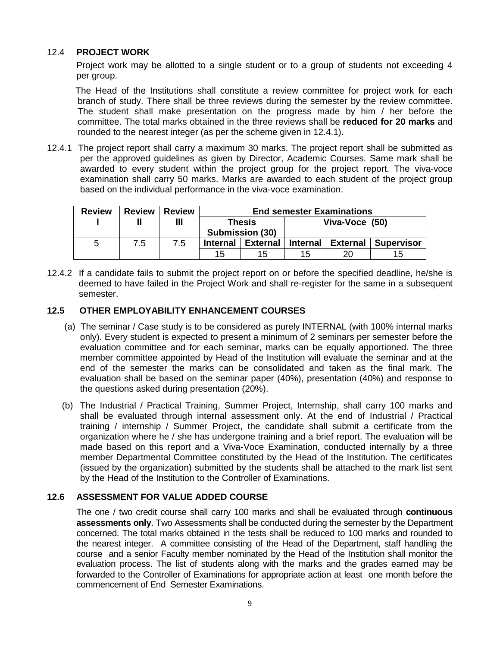# 12.4 **PROJECT WORK**

Project work may be allotted to a single student or to a group of students not exceeding 4 per group.

The Head of the Institutions shall constitute a review committee for project work for each branch of study. There shall be three reviews during the semester by the review committee. The student shall make presentation on the progress made by him / her before the committee. The total marks obtained in the three reviews shall be **reduced for 20 marks** and rounded to the nearest integer (as per the scheme given in 12.4.1).

12.4.1 The project report shall carry a maximum 30 marks. The project report shall be submitted as per the approved guidelines as given by Director, Academic Courses. Same mark shall be awarded to every student within the project group for the project report. The viva-voce examination shall carry 50 marks. Marks are awarded to each student of the project group based on the individual performance in the viva-voce examination.

| <b>Review</b> | <b>Review</b> | <b>Review</b> | <b>End semester Examinations</b> |                 |                 |                 |                   |
|---------------|---------------|---------------|----------------------------------|-----------------|-----------------|-----------------|-------------------|
|               |               | Ш             | <b>Thesis</b><br>Submission (30) |                 | Viva-Voce (50)  |                 |                   |
| <sub>5</sub>  | 7.5           | 7.5           | <b>Internal</b>                  | <b>External</b> | <b>Internal</b> | <b>External</b> | <b>Supervisor</b> |
|               |               |               | 15                               | 15              | 15              | 20              | 15                |

12.4.2 If a candidate fails to submit the project report on or before the specified deadline, he/she is deemed to have failed in the Project Work and shall re-register for the same in a subsequent semester.

### **12.5 OTHER EMPLOYABILITY ENHANCEMENT COURSES**

- (a) The seminar / Case study is to be considered as purely INTERNAL (with 100% internal marks only). Every student is expected to present a minimum of 2 seminars per semester before the evaluation committee and for each seminar, marks can be equally apportioned. The three member committee appointed by Head of the Institution will evaluate the seminar and at the end of the semester the marks can be consolidated and taken as the final mark. The evaluation shall be based on the seminar paper (40%), presentation (40%) and response to the questions asked during presentation (20%).
- (b) The Industrial / Practical Training, Summer Project, Internship, shall carry 100 marks and shall be evaluated through internal assessment only. At the end of Industrial / Practical training / internship / Summer Project, the candidate shall submit a certificate from the organization where he / she has undergone training and a brief report. The evaluation will be made based on this report and a Viva-Voce Examination, conducted internally by a three member Departmental Committee constituted by the Head of the Institution. The certificates (issued by the organization) submitted by the students shall be attached to the mark list sent by the Head of the Institution to the Controller of Examinations.

# **12.6 ASSESSMENT FOR VALUE ADDED COURSE**

The one / two credit course shall carry 100 marks and shall be evaluated through **continuous assessments only**. Two Assessments shall be conducted during the semester by the Department concerned. The total marks obtained in the tests shall be reduced to 100 marks and rounded to the nearest integer. A committee consisting of the Head of the Department, staff handling the course and a senior Faculty member nominated by the Head of the Institution shall monitor the evaluation process. The list of students along with the marks and the grades earned may be forwarded to the Controller of Examinations for appropriate action at least one month before the commencement of End Semester Examinations.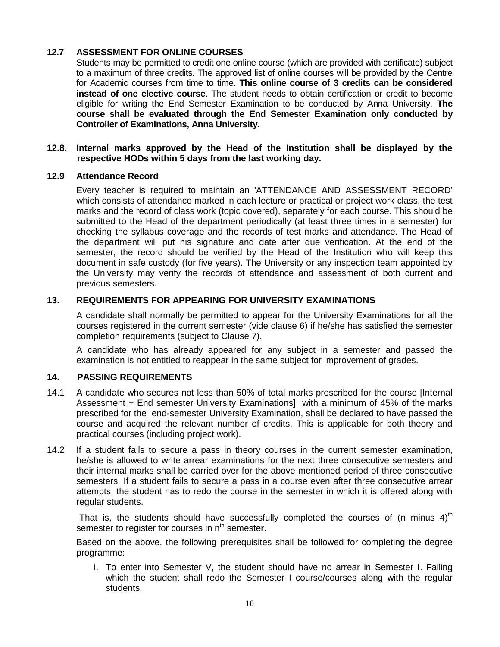# **12.7 ASSESSMENT FOR ONLINE COURSES**

Students may be permitted to credit one online course (which are provided with certificate) subject to a maximum of three credits. The approved list of online courses will be provided by the Centre for Academic courses from time to time. **This online course of 3 credits can be considered instead of one elective course**. The student needs to obtain certification or credit to become eligible for writing the End Semester Examination to be conducted by Anna University. **The course shall be evaluated through the End Semester Examination only conducted by Controller of Examinations, Anna University.**

#### **12.8. Internal marks approved by the Head of the Institution shall be displayed by the respective HODs within 5 days from the last working day.**

#### **12.9 Attendance Record**

Every teacher is required to maintain an 'ATTENDANCE AND ASSESSMENT RECORD' which consists of attendance marked in each lecture or practical or project work class, the test marks and the record of class work (topic covered), separately for each course. This should be submitted to the Head of the department periodically (at least three times in a semester) for checking the syllabus coverage and the records of test marks and attendance. The Head of the department will put his signature and date after due verification. At the end of the semester, the record should be verified by the Head of the Institution who will keep this document in safe custody (for five years). The University or any inspection team appointed by the University may verify the records of attendance and assessment of both current and previous semesters.

# **13. REQUIREMENTS FOR APPEARING FOR UNIVERSITY EXAMINATIONS**

A candidate shall normally be permitted to appear for the University Examinations for all the courses registered in the current semester (vide clause 6) if he/she has satisfied the semester completion requirements (subject to Clause 7).

A candidate who has already appeared for any subject in a semester and passed the examination is not entitled to reappear in the same subject for improvement of grades.

# **14. PASSING REQUIREMENTS**

- 14.1 A candidate who secures not less than 50% of total marks prescribed for the course [Internal Assessment + End semester University Examinations] with a minimum of 45% of the marks prescribed for the end-semester University Examination, shall be declared to have passed the course and acquired the relevant number of credits. This is applicable for both theory and practical courses (including project work).
- 14.2 If a student fails to secure a pass in theory courses in the current semester examination, he/she is allowed to write arrear examinations for the next three consecutive semesters and their internal marks shall be carried over for the above mentioned period of three consecutive semesters. If a student fails to secure a pass in a course even after three consecutive arrear attempts, the student has to redo the course in the semester in which it is offered along with regular students.

That is, the students should have successfully completed the courses of (n minus  $4$ )<sup>th</sup> semester to register for courses in n<sup>th</sup> semester.

Based on the above, the following prerequisites shall be followed for completing the degree programme:

i. To enter into Semester V, the student should have no arrear in Semester I. Failing which the student shall redo the Semester I course/courses along with the regular students.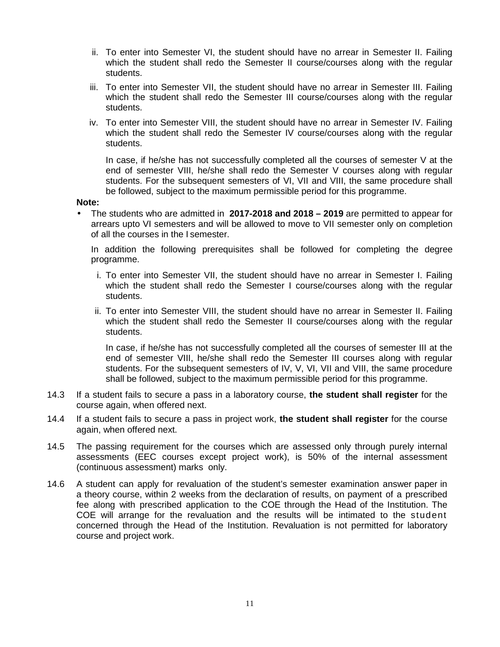- ii. To enter into Semester VI, the student should have no arrear in Semester II. Failing which the student shall redo the Semester II course/courses along with the regular students.
- iii. To enter into Semester VII, the student should have no arrear in Semester III. Failing which the student shall redo the Semester III course/courses along with the regular students.
- iv. To enter into Semester VIII, the student should have no arrear in Semester IV. Failing which the student shall redo the Semester IV course/courses along with the regular students.

In case, if he/she has not successfully completed all the courses of semester V at the end of semester VIII, he/she shall redo the Semester V courses along with regular students. For the subsequent semesters of VI, VII and VIII, the same procedure shall be followed, subject to the maximum permissible period for this programme.

#### **Note:**

 The students who are admitted in **2017-2018 and 2018 – 2019** are permitted to appear for arrears upto VI semesters and will be allowed to move to VII semester only on completion of all the courses in the I semester.

In addition the following prerequisites shall be followed for completing the degree programme.

- i. To enter into Semester VII, the student should have no arrear in Semester I. Failing which the student shall redo the Semester I course/courses along with the regular students.
- ii. To enter into Semester VIII, the student should have no arrear in Semester II. Failing which the student shall redo the Semester II course/courses along with the regular students.

In case, if he/she has not successfully completed all the courses of semester III at the end of semester VIII, he/she shall redo the Semester III courses along with regular students. For the subsequent semesters of IV, V, VI, VII and VIII, the same procedure shall be followed, subject to the maximum permissible period for this programme.

- 14.3 If a student fails to secure a pass in a laboratory course, **the student shall register** for the course again, when offered next.
- 14.4 If a student fails to secure a pass in project work, **the student shall register** for the course again, when offered next.
- 14.5 The passing requirement for the courses which are assessed only through purely internal assessments (EEC courses except project work), is 50% of the internal assessment (continuous assessment) marks only.
- 14.6 A student can apply for revaluation of the student's semester examination answer paper in a theory course, within 2 weeks from the declaration of results, on payment of a prescribed fee along with prescribed application to the COE through the Head of the Institution. The COE will arrange for the revaluation and the results will be intimated to the student concerned through the Head of the Institution. Revaluation is not permitted for laboratory course and project work.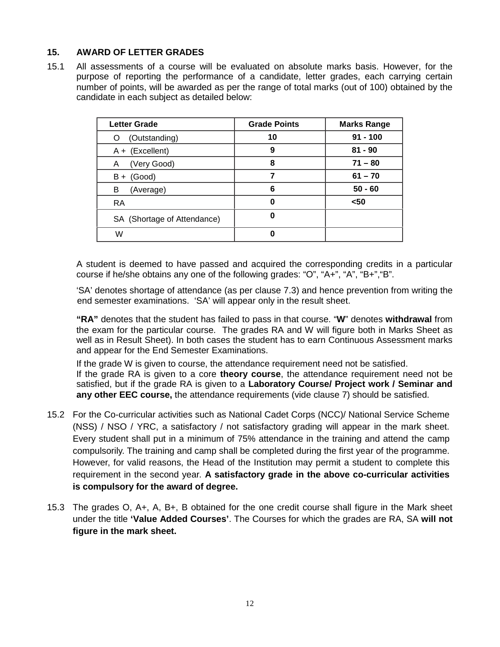# **15. AWARD OF LETTER GRADES**

15.1 All assessments of a course will be evaluated on absolute marks basis. However, for the purpose of reporting the performance of a candidate, letter grades, each carrying certain number of points, will be awarded as per the range of total marks (out of 100) obtained by the candidate in each subject as detailed below:

| <b>Letter Grade</b>         | <b>Grade Points</b> | <b>Marks Range</b> |
|-----------------------------|---------------------|--------------------|
| (Outstanding)<br>Ő          | 10                  | $91 - 100$         |
| $A + (Excellent)$           | 9                   | $81 - 90$          |
| (Very Good)<br>Α            | 8                   | $71 - 80$          |
| Good)<br>B+                 |                     | $61 - 70$          |
| (Average)<br>в              | 6                   | $50 - 60$          |
| <b>RA</b>                   |                     | $50$               |
| SA (Shortage of Attendance) |                     |                    |
| W                           |                     |                    |

A student is deemed to have passed and acquired the corresponding credits in a particular course if he/she obtains any one of the following grades: "O", "A+", "A", "B+","B".

'SA' denotes shortage of attendance (as per clause 7.3) and hence prevention from writing the end semester examinations. 'SA' will appear only in the result sheet.

**"RA"** denotes that the student has failed to pass in that course. "**W**" denotes **withdrawal** from the exam for the particular course. The grades RA and W will figure both in Marks Sheet as well as in Result Sheet). In both cases the student has to earn Continuous Assessment marks and appear for the End Semester Examinations.

If the grade W is given to course, the attendance requirement need not be satisfied. If the grade RA is given to a core **theory course**, the attendance requirement need not be satisfied, but if the grade RA is given to a **Laboratory Course/ Project work / Seminar and any other EEC course,** the attendance requirements (vide clause 7) should be satisfied.

- 15.2 For the Co-curricular activities such as National Cadet Corps (NCC)/ National Service Scheme (NSS) / NSO / YRC, a satisfactory / not satisfactory grading will appear in the mark sheet. Every student shall put in a minimum of 75% attendance in the training and attend the camp compulsorily. The training and camp shall be completed during the first year of the programme. However, for valid reasons, the Head of the Institution may permit a student to complete this requirement in the second year. **A satisfactory grade in the above co-curricular activities is compulsory for the award of degree.**
- 15.3 The grades O, A+, A, B+, B obtained for the one credit course shall figure in the Mark sheet under the title **'Value Added Courses'**. The Courses for which the grades are RA, SA **will not figure in the mark sheet.**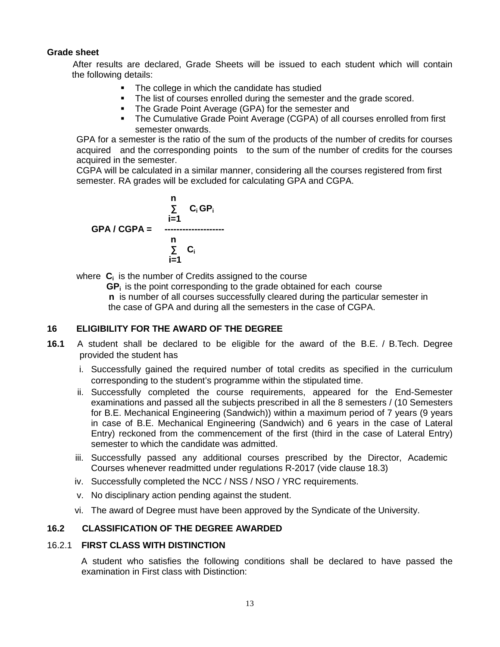# **Grade sheet**

After results are declared, Grade Sheets will be issued to each student which will contain the following details:

- The college in which the candidate has studied
- The list of courses enrolled during the semester and the grade scored.
- **The Grade Point Average (GPA) for the semester and**
- The Cumulative Grade Point Average (CGPA) of all courses enrolled from first semester onwards.

GPA for a semester is the ratio of the sum of the products of the number of credits for courses acquired and the corresponding points to the sum of the number of credits for the courses acquired in the semester.

CGPA will be calculated in a similar manner, considering all the courses registered from first semester. RA grades will be excluded for calculating GPA and CGPA.

$$
C_i GP_i
$$
\n
$$
C_i GP_i
$$
\n
$$
I = 1
$$
\n
$$
C_i
$$
\n
$$
C_i
$$
\n
$$
I = 1
$$

where **C<sup>i</sup>** is the number of Credits assigned to the course

**GP<sup>i</sup>** is the point corresponding to the grade obtained for each course **n** is number of all courses successfully cleared during the particular semester in the case of GPA and during all the semesters in the case of CGPA.

#### **16 ELIGIBILITY FOR THE AWARD OF THE DEGREE**

- **16.1** A student shall be declared to be eligible for the award of the B.E. / B.Tech. Degree provided the student has
	- i. Successfully gained the required number of total credits as specified in the curriculum corresponding to the student's programme within the stipulated time.
	- ii. Successfully completed the course requirements, appeared for the End-Semester examinations and passed all the subjects prescribed in all the 8 semesters / (10 Semesters for B.E. Mechanical Engineering (Sandwich)) within a maximum period of 7 years (9 years in case of B.E. Mechanical Engineering (Sandwich) and 6 years in the case of Lateral Entry) reckoned from the commencement of the first (third in the case of Lateral Entry) semester to which the candidate was admitted.
	- iii. Successfully passed any additional courses prescribed by the Director, Academic Courses whenever readmitted under regulations R-2017 (vide clause 18.3)
	- iv. Successfully completed the NCC / NSS / NSO / YRC requirements.
	- v. No disciplinary action pending against the student.
	- vi. The award of Degree must have been approved by the Syndicate of the University.

# **16.2 CLASSIFICATION OF THE DEGREE AWARDED**

### 16.2.1 **FIRST CLASS WITH DISTINCTION**

A student who satisfies the following conditions shall be declared to have passed the examination in First class with Distinction: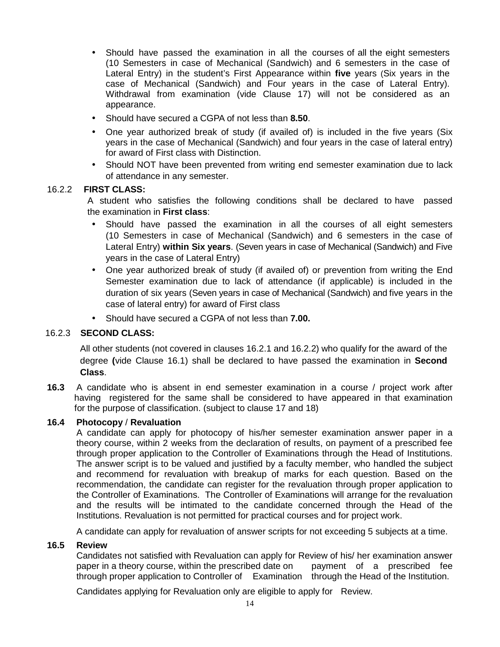- Should have passed the examination in all the courses of all the eight semesters (10 Semesters in case of Mechanical (Sandwich) and 6 semesters in the case of Lateral Entry) in the student's First Appearance within **five** years (Six years in the case of Mechanical (Sandwich) and Four years in the case of Lateral Entry). Withdrawal from examination (vide Clause 17) will not be considered as an appearance.
- Should have secured a CGPA of not less than **8.50**.
- One year authorized break of study (if availed of) is included in the five years (Six years in the case of Mechanical (Sandwich) and four years in the case of lateral entry) for award of First class with Distinction.
- Should NOT have been prevented from writing end semester examination due to lack of attendance in any semester.

# 16.2.2 **FIRST CLASS:**

A student who satisfies the following conditions shall be declared to have passed the examination in **First class**:

- Should have passed the examination in all the courses of all eight semesters (10 Semesters in case of Mechanical (Sandwich) and 6 semesters in the case of Lateral Entry) **within Six years**. (Seven years in case of Mechanical (Sandwich) and Five years in the case of Lateral Entry)
- One year authorized break of study (if availed of) or prevention from writing the End Semester examination due to lack of attendance (if applicable) is included in the duration of six years (Seven years in case of Mechanical (Sandwich) and five years in the case of lateral entry) for award of First class
- Should have secured a CGPA of not less than **7.00.**

# 16.2.3 **SECOND CLASS:**

All other students (not covered in clauses 16.2.1 and 16.2.2) who qualify for the award of the degree **(**vide Clause 16.1) shall be declared to have passed the examination in **Second Class**.

**16.3** A candidate who is absent in end semester examination in a course / project work after having registered for the same shall be considered to have appeared in that examination for the purpose of classification. (subject to clause 17 and 18)

# **16.4 Photocopy** / **Revaluation**

A candidate can apply for photocopy of his/her semester examination answer paper in a theory course, within 2 weeks from the declaration of results, on payment of a prescribed fee through proper application to the Controller of Examinations through the Head of Institutions. The answer script is to be valued and justified by a faculty member, who handled the subject and recommend for revaluation with breakup of marks for each question. Based on the recommendation, the candidate can register for the revaluation through proper application to the Controller of Examinations. The Controller of Examinations will arrange for the revaluation and the results will be intimated to the candidate concerned through the Head of the Institutions. Revaluation is not permitted for practical courses and for project work.

A candidate can apply for revaluation of answer scripts for not exceeding 5 subjects at a time.

#### **16.5 Review**

Candidates not satisfied with Revaluation can apply for Review of his/ her examination answer paper in a theory course, within the prescribed date on payment of a prescribed fee through proper application to Controller of Examination through the Head of the Institution.

Candidates applying for Revaluation only are eligible to apply for Review.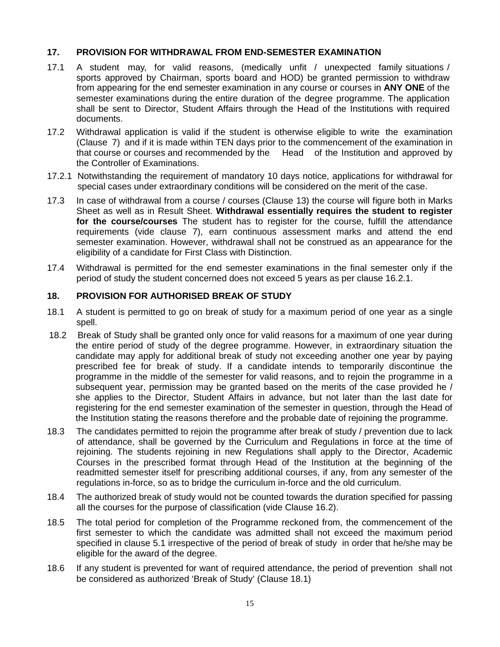### **17. PROVISION FOR WITHDRAWAL FROM END-SEMESTER EXAMINATION**

- 17.1 A student may, for valid reasons, (medically unfit / unexpected family situations / sports approved by Chairman, sports board and HOD) be granted permission to withdraw from appearing for the end semester examination in any course or courses in **ANY ONE** of the semester examinations during the entire duration of the degree programme. The application shall be sent to Director, Student Affairs through the Head of the Institutions with required documents.
- 17.2 Withdrawal application is valid if the student is otherwise eligible to write the examination (Clause 7) and if it is made within TEN days prior to the commencement of the examination in that course or courses and recommended by the Head of the Institution and approved by the Controller of Examinations.
- 17.2.1 Notwithstanding the requirement of mandatory 10 days notice, applications for withdrawal for special cases under extraordinary conditions will be considered on the merit of the case.
- 17.3 In case of withdrawal from a course / courses (Clause 13) the course will figure both in Marks Sheet as well as in Result Sheet. **Withdrawal essentially requires the student to register for the course/courses** The student has to register for the course, fulfill the attendance requirements (vide clause 7), earn continuous assessment marks and attend the end semester examination. However, withdrawal shall not be construed as an appearance for the eligibility of a candidate for First Class with Distinction.
- 17.4 Withdrawal is permitted for the end semester examinations in the final semester only if the period of study the student concerned does not exceed 5 years as per clause 16.2.1.

#### **18. PROVISION FOR AUTHORISED BREAK OF STUDY**

- 18.1 A student is permitted to go on break of study for a maximum period of one year as a single spell.
- 18.2 Break of Study shall be granted only once for valid reasons for a maximum of one year during the entire period of study of the degree programme. However, in extraordinary situation the candidate may apply for additional break of study not exceeding another one year by paying prescribed fee for break of study. If a candidate intends to temporarily discontinue the programme in the middle of the semester for valid reasons, and to rejoin the programme in a subsequent year, permission may be granted based on the merits of the case provided he / she applies to the Director, Student Affairs in advance, but not later than the last date for registering for the end semester examination of the semester in question, through the Head of the Institution stating the reasons therefore and the probable date of rejoining the programme.
- 18.3 The candidates permitted to rejoin the programme after break of study / prevention due to lack of attendance, shall be governed by the Curriculum and Regulations in force at the time of rejoining. The students rejoining in new Regulations shall apply to the Director, Academic Courses in the prescribed format through Head of the Institution at the beginning of the readmitted semester itself for prescribing additional courses, if any, from any semester of the regulations in-force, so as to bridge the curriculum in-force and the old curriculum.
- 18.4 The authorized break of study would not be counted towards the duration specified for passing all the courses for the purpose of classification (vide Clause 16.2).
- 18.5 The total period for completion of the Programme reckoned from, the commencement of the first semester to which the candidate was admitted shall not exceed the maximum period specified in clause 5.1 irrespective of the period of break of study in order that he/she may be eligible for the award of the degree.
- 18.6 If any student is prevented for want of required attendance, the period of prevention shall not be considered as authorized 'Break of Study' (Clause 18.1)